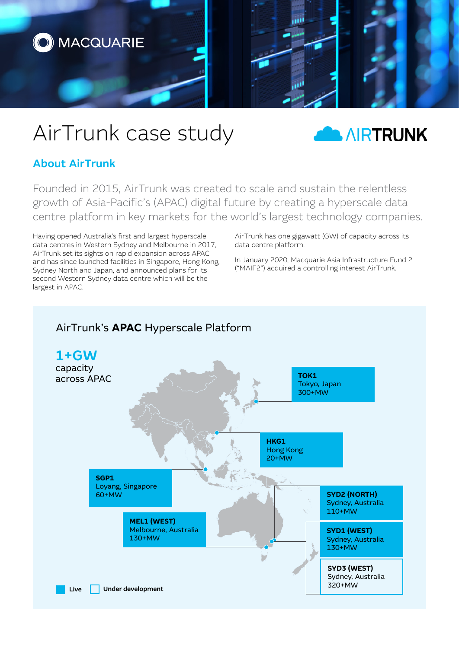

# AirTrunk case study



## About AirTrunk

Founded in 2015, AirTrunk was created to scale and sustain the relentless growth of Asia-Pacific's (APAC) digital future by creating a hyperscale data centre platform in key markets for the world's largest technology companies.

Having opened Australia's first and largest hyperscale data centres in Western Sydney and Melbourne in 2017, AirTrunk set its sights on rapid expansion across APAC and has since launched facilities in Singapore, Hong Kong, Sydney North and Japan, and announced plans for its second Western Sydney data centre which will be the largest in APAC.

AirTrunk has one gigawatt (GW) of capacity across its data centre platform.

In January 2020, Macquarie Asia Infrastructure Fund 2 ("MAIF2") acquired a controlling interest AirTrunk.

## AirTrunk's **APAC** Hyperscale Platform